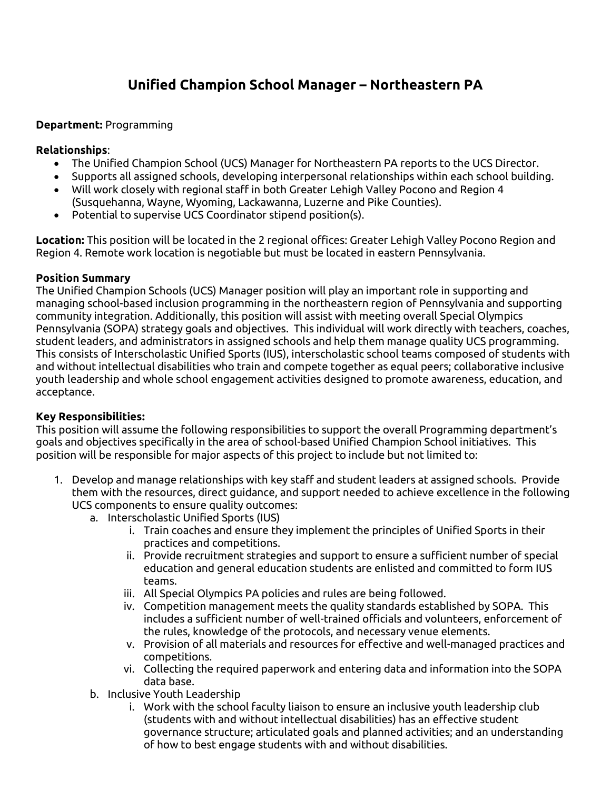# **Unified Champion School Manager – Northeastern PA**

## **Department:** Programming

#### **Relationships**:

- The Unified Champion School (UCS) Manager for Northeastern PA reports to the UCS Director.
- Supports all assigned schools, developing interpersonal relationships within each school building.
- Will work closely with regional staff in both Greater Lehigh Valley Pocono and Region 4 (Susquehanna, Wayne, Wyoming, Lackawanna, Luzerne and Pike Counties).
- Potential to supervise UCS Coordinator stipend position(s).

**Location:** This position will be located in the 2 regional offices: Greater Lehigh Valley Pocono Region and Region 4. Remote work location is negotiable but must be located in eastern Pennsylvania.

## **Position Summary**

The Unified Champion Schools (UCS) Manager position will play an important role in supporting and managing school-based inclusion programming in the northeastern region of Pennsylvania and supporting community integration. Additionally, this position will assist with meeting overall Special Olympics Pennsylvania (SOPA) strategy goals and objectives. This individual will work directly with teachers, coaches, student leaders, and administrators in assigned schools and help them manage quality UCS programming. This consists of Interscholastic Unified Sports (IUS), interscholastic school teams composed of students with and without intellectual disabilities who train and compete together as equal peers; collaborative inclusive youth leadership and whole school engagement activities designed to promote awareness, education, and acceptance.

## **Key Responsibilities:**

This position will assume the following responsibilities to support the overall Programming department's goals and objectives specifically in the area of school-based Unified Champion School initiatives. This position will be responsible for major aspects of this project to include but not limited to:

- 1. Develop and manage relationships with key staff and student leaders at assigned schools. Provide them with the resources, direct guidance, and support needed to achieve excellence in the following UCS components to ensure quality outcomes:
	- a. Interscholastic Unified Sports (IUS)
		- i. Train coaches and ensure they implement the principles of Unified Sports in their practices and competitions.
		- ii. Provide recruitment strategies and support to ensure a sufficient number of special education and general education students are enlisted and committed to form IUS teams.
		- iii. All Special Olympics PA policies and rules are being followed.
		- iv. Competition management meets the quality standards established by SOPA. This includes a sufficient number of well-trained officials and volunteers, enforcement of the rules, knowledge of the protocols, and necessary venue elements.
		- v. Provision of all materials and resources for effective and well-managed practices and competitions.
		- vi. Collecting the required paperwork and entering data and information into the SOPA data base.
	- b. Inclusive Youth Leadership
		- i. Work with the school faculty liaison to ensure an inclusive youth leadership club (students with and without intellectual disabilities) has an effective student governance structure; articulated goals and planned activities; and an understanding of how to best engage students with and without disabilities.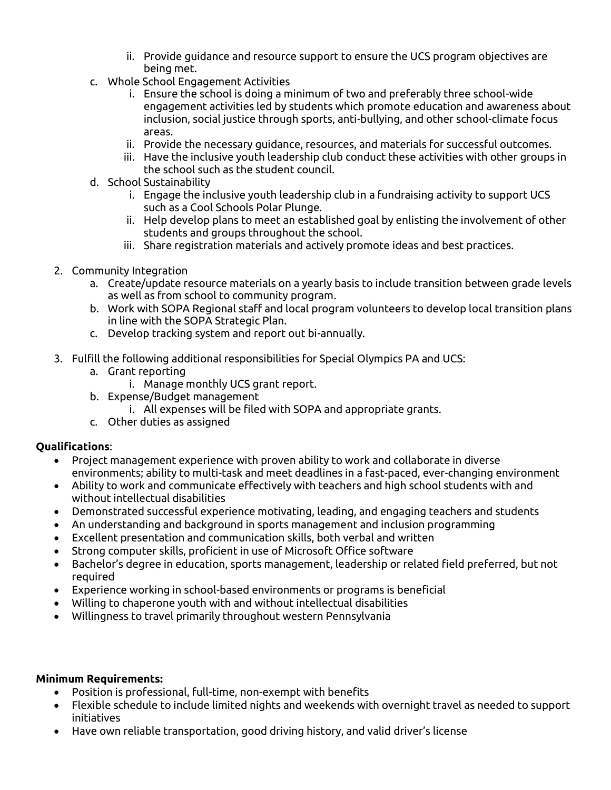- ii. Provide guidance and resource support to ensure the UCS program objectives are being met.
- c. Whole School Engagement Activities
	- i. Ensure the school is doing a minimum of two and preferably three school-wide engagement activities led by students which promote education and awareness about inclusion, social justice through sports, anti-bullying, and other school-climate focus areas.
	- ii. Provide the necessary guidance, resources, and materials for successful outcomes.
	- iii. Have the inclusive youth leadership club conduct these activities with other groups in the school such as the student council.
- d. School Sustainability
	- i. Engage the inclusive youth leadership club in a fundraising activity to support UCS such as a Cool Schools Polar Plunge.
	- ii. Help develop plans to meet an established goal by enlisting the involvement of other students and groups throughout the school.
	- iii. Share registration materials and actively promote ideas and best practices.
- 2. Community Integration
	- a. Create/update resource materials on a yearly basis to include transition between grade levels as well as from school to community program.
	- b. Work with SOPA Regional staff and local program volunteers to develop local transition plans in line with the SOPA Strategic Plan.
	- c. Develop tracking system and report out bi-annually.
- 3. Fulfill the following additional responsibilities for Special Olympics PA and UCS:
	- a. Grant reporting
		- i. Manage monthly UCS grant report.
	- b. Expense/Budget management
		- i. All expenses will be filed with SOPA and appropriate grants.
	- c. Other duties as assigned

## **Qualifications**:

- Project management experience with proven ability to work and collaborate in diverse environments; ability to multi-task and meet deadlines in a fast-paced, ever-changing environment
- Ability to work and communicate effectively with teachers and high school students with and without intellectual disabilities
- Demonstrated successful experience motivating, leading, and engaging teachers and students
- An understanding and background in sports management and inclusion programming
- Excellent presentation and communication skills, both verbal and written
- Strong computer skills, proficient in use of Microsoft Office software
- Bachelor's degree in education, sports management, leadership or related field preferred, but not required
- Experience working in school-based environments or programs is beneficial
- Willing to chaperone youth with and without intellectual disabilities
- Willingness to travel primarily throughout western Pennsylvania

## **Minimum Requirements:**

- Position is professional, full-time, non-exempt with benefits
- Flexible schedule to include limited nights and weekends with overnight travel as needed to support initiatives
- Have own reliable transportation, good driving history, and valid driver's license